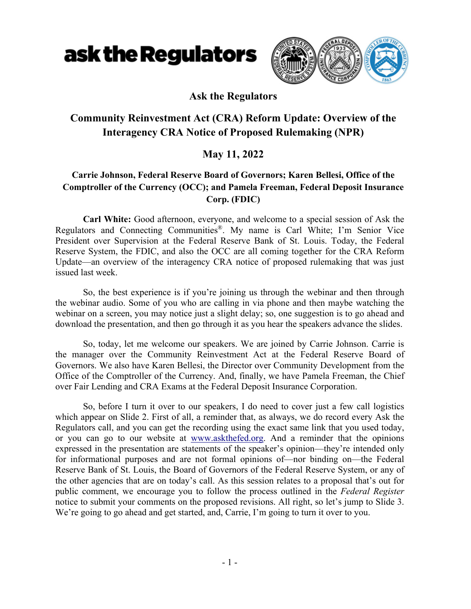

#### **Ask the Regulators**

### **Community Reinvestment Act (CRA) Reform Update: Overview of the Interagency CRA Notice of Proposed Rulemaking (NPR)**

### **May 11, 2022**

#### **Carrie Johnson, Federal Reserve Board of Governors; Karen Bellesi, Office of the Comptroller of the Currency (OCC); and Pamela Freeman, Federal Deposit Insurance Corp. (FDIC)**

**Carl White:** Good afternoon, everyone, and welcome to a special session of Ask the Regulators and Connecting Communities®. My name is Carl White; I'm Senior Vice President over Supervision at the Federal Reserve Bank of St. Louis. Today, the Federal Reserve System, the FDIC, and also the OCC are all coming together for the CRA Reform Update—an overview of the interagency CRA notice of proposed rulemaking that was just issued last week.

So, the best experience is if you're joining us through the webinar and then through the webinar audio. Some of you who are calling in via phone and then maybe watching the webinar on a screen, you may notice just a slight delay; so, one suggestion is to go ahead and download the presentation, and then go through it as you hear the speakers advance the slides.

So, today, let me welcome our speakers. We are joined by Carrie Johnson. Carrie is the manager over the Community Reinvestment Act at the Federal Reserve Board of Governors. We also have Karen Bellesi, the Director over Community Development from the Office of the Comptroller of the Currency. And, finally, we have Pamela Freeman, the Chief over Fair Lending and CRA Exams at the Federal Deposit Insurance Corporation.

So, before I turn it over to our speakers, I do need to cover just a few call logistics which appear on Slide 2. First of all, a reminder that, as always, we do record every Ask the Regulators call, and you can get the recording using the exact same link that you used today, or you can go to our website at www.askthefed.org. And a reminder that the opinions expressed in the presentation are statements of the speaker's opinion—they're intended only for informational purposes and are not formal opinions of—nor binding on—the Federal Reserve Bank of St. Louis, the Board of Governors of the Federal Reserve System, or any of the other agencies that are on today's call. As this session relates to a proposal that's out for public comment, we encourage you to follow the process outlined in the *Federal Register* notice to submit your comments on the proposed revisions. All right, so let's jump to Slide 3. We're going to go ahead and get started, and, Carrie, I'm going to turn it over to you.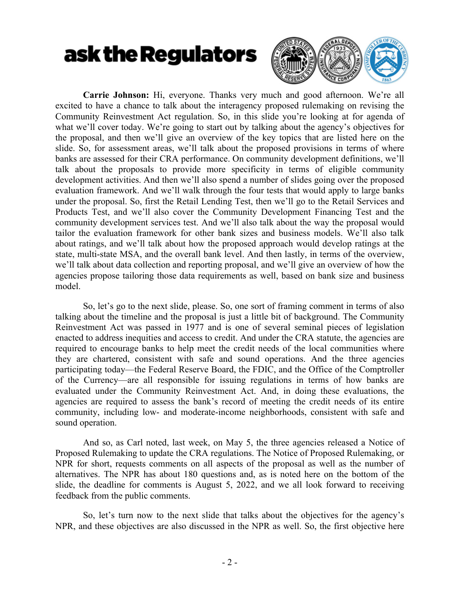

**Carrie Johnson:** Hi, everyone. Thanks very much and good afternoon. We're all excited to have a chance to talk about the interagency proposed rulemaking on revising the Community Reinvestment Act regulation. So, in this slide you're looking at for agenda of what we'll cover today. We're going to start out by talking about the agency's objectives for the proposal, and then we'll give an overview of the key topics that are listed here on the slide. So, for assessment areas, we'll talk about the proposed provisions in terms of where banks are assessed for their CRA performance. On community development definitions, we'll talk about the proposals to provide more specificity in terms of eligible community development activities. And then we'll also spend a number of slides going over the proposed evaluation framework. And we'll walk through the four tests that would apply to large banks under the proposal. So, first the Retail Lending Test, then we'll go to the Retail Services and Products Test, and we'll also cover the Community Development Financing Test and the community development services test. And we'll also talk about the way the proposal would tailor the evaluation framework for other bank sizes and business models. We'll also talk about ratings, and we'll talk about how the proposed approach would develop ratings at the state, multi-state MSA, and the overall bank level. And then lastly, in terms of the overview, we'll talk about data collection and reporting proposal, and we'll give an overview of how the agencies propose tailoring those data requirements as well, based on bank size and business model.

So, let's go to the next slide, please. So, one sort of framing comment in terms of also talking about the timeline and the proposal is just a little bit of background. The Community Reinvestment Act was passed in 1977 and is one of several seminal pieces of legislation enacted to address inequities and access to credit. And under the CRA statute, the agencies are required to encourage banks to help meet the credit needs of the local communities where they are chartered, consistent with safe and sound operations. And the three agencies participating today—the Federal Reserve Board, the FDIC, and the Office of the Comptroller of the Currency—are all responsible for issuing regulations in terms of how banks are evaluated under the Community Reinvestment Act. And, in doing these evaluations, the agencies are required to assess the bank's record of meeting the credit needs of its entire community, including low- and moderate-income neighborhoods, consistent with safe and sound operation.

And so, as Carl noted, last week, on May 5, the three agencies released a Notice of Proposed Rulemaking to update the CRA regulations. The Notice of Proposed Rulemaking, or NPR for short, requests comments on all aspects of the proposal as well as the number of alternatives. The NPR has about 180 questions and, as is noted here on the bottom of the slide, the deadline for comments is August 5, 2022, and we all look forward to receiving feedback from the public comments.

So, let's turn now to the next slide that talks about the objectives for the agency's NPR, and these objectives are also discussed in the NPR as well. So, the first objective here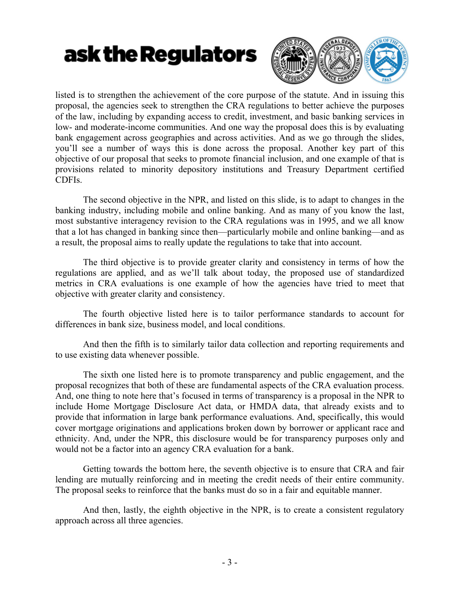

listed is to strengthen the achievement of the core purpose of the statute. And in issuing this proposal, the agencies seek to strengthen the CRA regulations to better achieve the purposes of the law, including by expanding access to credit, investment, and basic banking services in low- and moderate-income communities. And one way the proposal does this is by evaluating bank engagement across geographies and across activities. And as we go through the slides, you'll see a number of ways this is done across the proposal. Another key part of this objective of our proposal that seeks to promote financial inclusion, and one example of that is provisions related to minority depository institutions and Treasury Department certified CDFIs.

The second objective in the NPR, and listed on this slide, is to adapt to changes in the banking industry, including mobile and online banking. And as many of you know the last, most substantive interagency revision to the CRA regulations was in 1995, and we all know that a lot has changed in banking since then—particularly mobile and online banking—and as a result, the proposal aims to really update the regulations to take that into account.

The third objective is to provide greater clarity and consistency in terms of how the regulations are applied, and as we'll talk about today, the proposed use of standardized metrics in CRA evaluations is one example of how the agencies have tried to meet that objective with greater clarity and consistency.

The fourth objective listed here is to tailor performance standards to account for differences in bank size, business model, and local conditions.

And then the fifth is to similarly tailor data collection and reporting requirements and to use existing data whenever possible.

The sixth one listed here is to promote transparency and public engagement, and the proposal recognizes that both of these are fundamental aspects of the CRA evaluation process. And, one thing to note here that's focused in terms of transparency is a proposal in the NPR to include Home Mortgage Disclosure Act data, or HMDA data, that already exists and to provide that information in large bank performance evaluations. And, specifically, this would cover mortgage originations and applications broken down by borrower or applicant race and ethnicity. And, under the NPR, this disclosure would be for transparency purposes only and would not be a factor into an agency CRA evaluation for a bank.

Getting towards the bottom here, the seventh objective is to ensure that CRA and fair lending are mutually reinforcing and in meeting the credit needs of their entire community. The proposal seeks to reinforce that the banks must do so in a fair and equitable manner.

And then, lastly, the eighth objective in the NPR, is to create a consistent regulatory approach across all three agencies.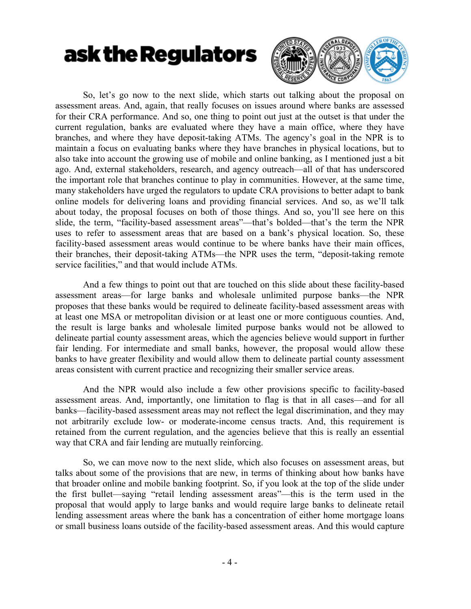

So, let's go now to the next slide, which starts out talking about the proposal on assessment areas. And, again, that really focuses on issues around where banks are assessed for their CRA performance. And so, one thing to point out just at the outset is that under the current regulation, banks are evaluated where they have a main office, where they have branches, and where they have deposit-taking ATMs. The agency's goal in the NPR is to maintain a focus on evaluating banks where they have branches in physical locations, but to also take into account the growing use of mobile and online banking, as I mentioned just a bit ago. And, external stakeholders, research, and agency outreach—all of that has underscored the important role that branches continue to play in communities. However, at the same time, many stakeholders have urged the regulators to update CRA provisions to better adapt to bank online models for delivering loans and providing financial services. And so, as we'll talk about today, the proposal focuses on both of those things. And so, you'll see here on this slide, the term, "facility-based assessment areas"—that's bolded—that's the term the NPR uses to refer to assessment areas that are based on a bank's physical location. So, these facility-based assessment areas would continue to be where banks have their main offices, their branches, their deposit-taking ATMs—the NPR uses the term, "deposit-taking remote service facilities," and that would include ATMs.

And a few things to point out that are touched on this slide about these facility-based assessment areas—for large banks and wholesale unlimited purpose banks—the NPR proposes that these banks would be required to delineate facility-based assessment areas with at least one MSA or metropolitan division or at least one or more contiguous counties. And, the result is large banks and wholesale limited purpose banks would not be allowed to delineate partial county assessment areas, which the agencies believe would support in further fair lending. For intermediate and small banks, however, the proposal would allow these banks to have greater flexibility and would allow them to delineate partial county assessment areas consistent with current practice and recognizing their smaller service areas.

And the NPR would also include a few other provisions specific to facility-based assessment areas. And, importantly, one limitation to flag is that in all cases—and for all banks—facility-based assessment areas may not reflect the legal discrimination, and they may not arbitrarily exclude low- or moderate-income census tracts. And, this requirement is retained from the current regulation, and the agencies believe that this is really an essential way that CRA and fair lending are mutually reinforcing.

So, we can move now to the next slide, which also focuses on assessment areas, but talks about some of the provisions that are new, in terms of thinking about how banks have that broader online and mobile banking footprint. So, if you look at the top of the slide under the first bullet—saying "retail lending assessment areas"—this is the term used in the proposal that would apply to large banks and would require large banks to delineate retail lending assessment areas where the bank has a concentration of either home mortgage loans or small business loans outside of the facility-based assessment areas. And this would capture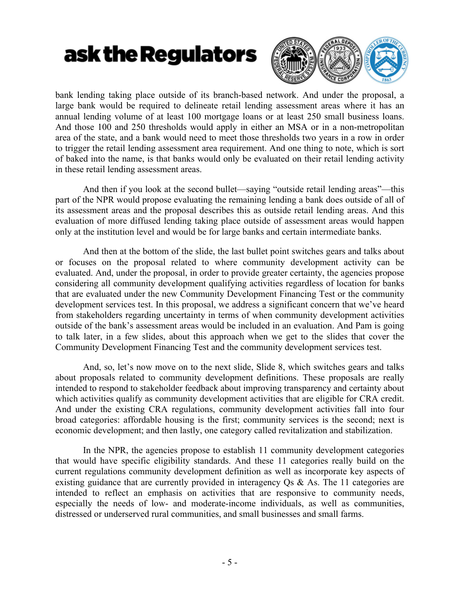

bank lending taking place outside of its branch-based network. And under the proposal, a large bank would be required to delineate retail lending assessment areas where it has an annual lending volume of at least 100 mortgage loans or at least 250 small business loans. And those 100 and 250 thresholds would apply in either an MSA or in a non-metropolitan area of the state, and a bank would need to meet those thresholds two years in a row in order to trigger the retail lending assessment area requirement. And one thing to note, which is sort of baked into the name, is that banks would only be evaluated on their retail lending activity in these retail lending assessment areas.

And then if you look at the second bullet—saying "outside retail lending areas"—this part of the NPR would propose evaluating the remaining lending a bank does outside of all of its assessment areas and the proposal describes this as outside retail lending areas. And this evaluation of more diffused lending taking place outside of assessment areas would happen only at the institution level and would be for large banks and certain intermediate banks.

And then at the bottom of the slide, the last bullet point switches gears and talks about or focuses on the proposal related to where community development activity can be evaluated. And, under the proposal, in order to provide greater certainty, the agencies propose considering all community development qualifying activities regardless of location for banks that are evaluated under the new Community Development Financing Test or the community development services test. In this proposal, we address a significant concern that we've heard from stakeholders regarding uncertainty in terms of when community development activities outside of the bank's assessment areas would be included in an evaluation. And Pam is going to talk later, in a few slides, about this approach when we get to the slides that cover the Community Development Financing Test and the community development services test.

And, so, let's now move on to the next slide, Slide 8, which switches gears and talks about proposals related to community development definitions. These proposals are really intended to respond to stakeholder feedback about improving transparency and certainty about which activities qualify as community development activities that are eligible for CRA credit. And under the existing CRA regulations, community development activities fall into four broad categories: affordable housing is the first; community services is the second; next is economic development; and then lastly, one category called revitalization and stabilization.

In the NPR, the agencies propose to establish 11 community development categories that would have specific eligibility standards. And these 11 categories really build on the current regulations community development definition as well as incorporate key aspects of existing guidance that are currently provided in interagency Qs & As. The 11 categories are intended to reflect an emphasis on activities that are responsive to community needs, especially the needs of low- and moderate-income individuals, as well as communities, distressed or underserved rural communities, and small businesses and small farms.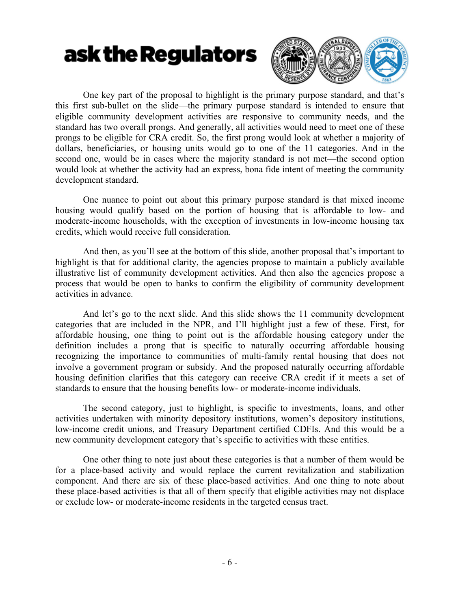

One key part of the proposal to highlight is the primary purpose standard, and that's this first sub-bullet on the slide—the primary purpose standard is intended to ensure that eligible community development activities are responsive to community needs, and the standard has two overall prongs. And generally, all activities would need to meet one of these prongs to be eligible for CRA credit. So, the first prong would look at whether a majority of dollars, beneficiaries, or housing units would go to one of the 11 categories. And in the second one, would be in cases where the majority standard is not met—the second option would look at whether the activity had an express, bona fide intent of meeting the community development standard.

One nuance to point out about this primary purpose standard is that mixed income housing would qualify based on the portion of housing that is affordable to low- and moderate-income households, with the exception of investments in low-income housing tax credits, which would receive full consideration.

And then, as you'll see at the bottom of this slide, another proposal that's important to highlight is that for additional clarity, the agencies propose to maintain a publicly available illustrative list of community development activities. And then also the agencies propose a process that would be open to banks to confirm the eligibility of community development activities in advance.

And let's go to the next slide. And this slide shows the 11 community development categories that are included in the NPR, and I'll highlight just a few of these. First, for affordable housing, one thing to point out is the affordable housing category under the definition includes a prong that is specific to naturally occurring affordable housing recognizing the importance to communities of multi-family rental housing that does not involve a government program or subsidy. And the proposed naturally occurring affordable housing definition clarifies that this category can receive CRA credit if it meets a set of standards to ensure that the housing benefits low- or moderate-income individuals.

The second category, just to highlight, is specific to investments, loans, and other activities undertaken with minority depository institutions, women's depository institutions, low-income credit unions, and Treasury Department certified CDFIs. And this would be a new community development category that's specific to activities with these entities.

One other thing to note just about these categories is that a number of them would be for a place-based activity and would replace the current revitalization and stabilization component. And there are six of these place-based activities. And one thing to note about these place-based activities is that all of them specify that eligible activities may not displace or exclude low- or moderate-income residents in the targeted census tract.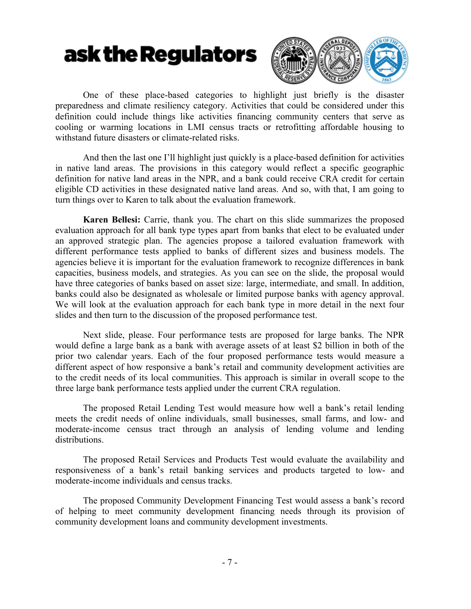

One of these place-based categories to highlight just briefly is the disaster preparedness and climate resiliency category. Activities that could be considered under this definition could include things like activities financing community centers that serve as cooling or warming locations in LMI census tracts or retrofitting affordable housing to withstand future disasters or climate-related risks.

And then the last one I'll highlight just quickly is a place-based definition for activities in native land areas. The provisions in this category would reflect a specific geographic definition for native land areas in the NPR, and a bank could receive CRA credit for certain eligible CD activities in these designated native land areas. And so, with that, I am going to turn things over to Karen to talk about the evaluation framework.

**Karen Bellesi:** Carrie, thank you. The chart on this slide summarizes the proposed evaluation approach for all bank type types apart from banks that elect to be evaluated under an approved strategic plan. The agencies propose a tailored evaluation framework with different performance tests applied to banks of different sizes and business models. The agencies believe it is important for the evaluation framework to recognize differences in bank capacities, business models, and strategies. As you can see on the slide, the proposal would have three categories of banks based on asset size: large, intermediate, and small. In addition, banks could also be designated as wholesale or limited purpose banks with agency approval. We will look at the evaluation approach for each bank type in more detail in the next four slides and then turn to the discussion of the proposed performance test.

Next slide, please. Four performance tests are proposed for large banks. The NPR would define a large bank as a bank with average assets of at least \$2 billion in both of the prior two calendar years. Each of the four proposed performance tests would measure a different aspect of how responsive a bank's retail and community development activities are to the credit needs of its local communities. This approach is similar in overall scope to the three large bank performance tests applied under the current CRA regulation.

The proposed Retail Lending Test would measure how well a bank's retail lending meets the credit needs of online individuals, small businesses, small farms, and low- and moderate-income census tract through an analysis of lending volume and lending distributions.

The proposed Retail Services and Products Test would evaluate the availability and responsiveness of a bank's retail banking services and products targeted to low- and moderate-income individuals and census tracks.

The proposed Community Development Financing Test would assess a bank's record of helping to meet community development financing needs through its provision of community development loans and community development investments.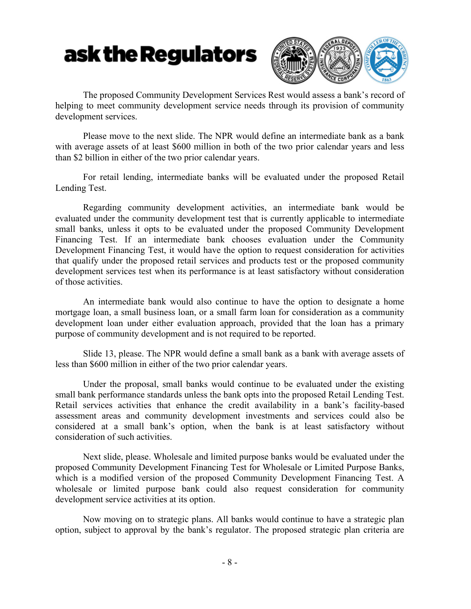

The proposed Community Development Services Rest would assess a bank's record of helping to meet community development service needs through its provision of community development services.

Please move to the next slide. The NPR would define an intermediate bank as a bank with average assets of at least \$600 million in both of the two prior calendar years and less than \$2 billion in either of the two prior calendar years.

For retail lending, intermediate banks will be evaluated under the proposed Retail Lending Test.

Regarding community development activities, an intermediate bank would be evaluated under the community development test that is currently applicable to intermediate small banks, unless it opts to be evaluated under the proposed Community Development Financing Test. If an intermediate bank chooses evaluation under the Community Development Financing Test, it would have the option to request consideration for activities that qualify under the proposed retail services and products test or the proposed community development services test when its performance is at least satisfactory without consideration of those activities.

An intermediate bank would also continue to have the option to designate a home mortgage loan, a small business loan, or a small farm loan for consideration as a community development loan under either evaluation approach, provided that the loan has a primary purpose of community development and is not required to be reported.

Slide 13, please. The NPR would define a small bank as a bank with average assets of less than \$600 million in either of the two prior calendar years.

Under the proposal, small banks would continue to be evaluated under the existing small bank performance standards unless the bank opts into the proposed Retail Lending Test. Retail services activities that enhance the credit availability in a bank's facility-based assessment areas and community development investments and services could also be considered at a small bank's option, when the bank is at least satisfactory without consideration of such activities.

Next slide, please. Wholesale and limited purpose banks would be evaluated under the proposed Community Development Financing Test for Wholesale or Limited Purpose Banks, which is a modified version of the proposed Community Development Financing Test. A wholesale or limited purpose bank could also request consideration for community development service activities at its option.

Now moving on to strategic plans. All banks would continue to have a strategic plan option, subject to approval by the bank's regulator. The proposed strategic plan criteria are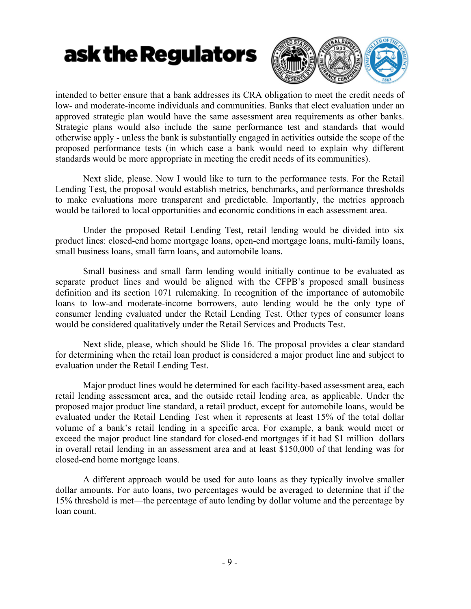

intended to better ensure that a bank addresses its CRA obligation to meet the credit needs of low- and moderate-income individuals and communities. Banks that elect evaluation under an approved strategic plan would have the same assessment area requirements as other banks. Strategic plans would also include the same performance test and standards that would otherwise apply - unless the bank is substantially engaged in activities outside the scope of the proposed performance tests (in which case a bank would need to explain why different standards would be more appropriate in meeting the credit needs of its communities).

Next slide, please. Now I would like to turn to the performance tests. For the Retail Lending Test, the proposal would establish metrics, benchmarks, and performance thresholds to make evaluations more transparent and predictable. Importantly, the metrics approach would be tailored to local opportunities and economic conditions in each assessment area.

Under the proposed Retail Lending Test, retail lending would be divided into six product lines: closed-end home mortgage loans, open-end mortgage loans, multi-family loans, small business loans, small farm loans, and automobile loans.

Small business and small farm lending would initially continue to be evaluated as separate product lines and would be aligned with the CFPB's proposed small business definition and its section 1071 rulemaking. In recognition of the importance of automobile loans to low-and moderate-income borrowers, auto lending would be the only type of consumer lending evaluated under the Retail Lending Test. Other types of consumer loans would be considered qualitatively under the Retail Services and Products Test.

Next slide, please, which should be Slide 16. The proposal provides a clear standard for determining when the retail loan product is considered a major product line and subject to evaluation under the Retail Lending Test.

Major product lines would be determined for each facility-based assessment area, each retail lending assessment area, and the outside retail lending area, as applicable. Under the proposed major product line standard, a retail product, except for automobile loans, would be evaluated under the Retail Lending Test when it represents at least 15% of the total dollar volume of a bank's retail lending in a specific area. For example, a bank would meet or exceed the major product line standard for closed-end mortgages if it had \$1 million dollars in overall retail lending in an assessment area and at least \$150,000 of that lending was for closed-end home mortgage loans.

A different approach would be used for auto loans as they typically involve smaller dollar amounts. For auto loans, two percentages would be averaged to determine that if the 15% threshold is met—the percentage of auto lending by dollar volume and the percentage by loan count.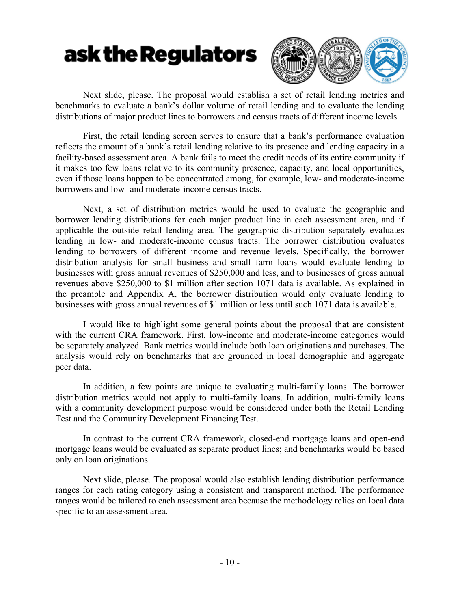

Next slide, please. The proposal would establish a set of retail lending metrics and benchmarks to evaluate a bank's dollar volume of retail lending and to evaluate the lending distributions of major product lines to borrowers and census tracts of different income levels.

First, the retail lending screen serves to ensure that a bank's performance evaluation reflects the amount of a bank's retail lending relative to its presence and lending capacity in a facility-based assessment area. A bank fails to meet the credit needs of its entire community if it makes too few loans relative to its community presence, capacity, and local opportunities, even if those loans happen to be concentrated among, for example, low- and moderate-income borrowers and low- and moderate-income census tracts.

Next, a set of distribution metrics would be used to evaluate the geographic and borrower lending distributions for each major product line in each assessment area, and if applicable the outside retail lending area. The geographic distribution separately evaluates lending in low- and moderate-income census tracts. The borrower distribution evaluates lending to borrowers of different income and revenue levels. Specifically, the borrower distribution analysis for small business and small farm loans would evaluate lending to businesses with gross annual revenues of \$250,000 and less, and to businesses of gross annual revenues above \$250,000 to \$1 million after section 1071 data is available. As explained in the preamble and Appendix A, the borrower distribution would only evaluate lending to businesses with gross annual revenues of \$1 million or less until such 1071 data is available.

I would like to highlight some general points about the proposal that are consistent with the current CRA framework. First, low-income and moderate-income categories would be separately analyzed. Bank metrics would include both loan originations and purchases. The analysis would rely on benchmarks that are grounded in local demographic and aggregate peer data.

In addition, a few points are unique to evaluating multi-family loans. The borrower distribution metrics would not apply to multi-family loans. In addition, multi-family loans with a community development purpose would be considered under both the Retail Lending Test and the Community Development Financing Test.

In contrast to the current CRA framework, closed-end mortgage loans and open-end mortgage loans would be evaluated as separate product lines; and benchmarks would be based only on loan originations.

Next slide, please. The proposal would also establish lending distribution performance ranges for each rating category using a consistent and transparent method. The performance ranges would be tailored to each assessment area because the methodology relies on local data specific to an assessment area.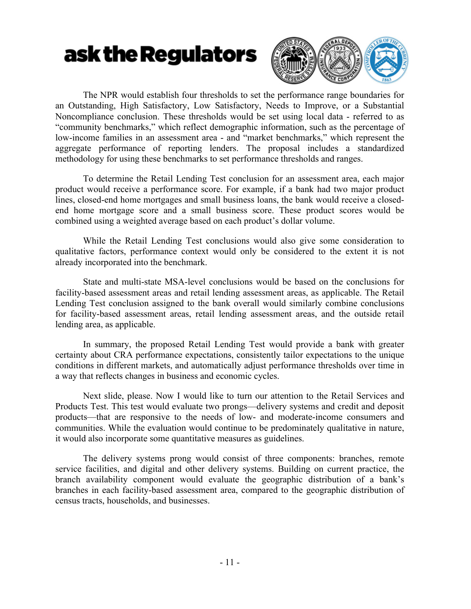

The NPR would establish four thresholds to set the performance range boundaries for an Outstanding, High Satisfactory, Low Satisfactory, Needs to Improve, or a Substantial Noncompliance conclusion. These thresholds would be set using local data - referred to as "community benchmarks," which reflect demographic information, such as the percentage of low-income families in an assessment area - and "market benchmarks," which represent the aggregate performance of reporting lenders. The proposal includes a standardized methodology for using these benchmarks to set performance thresholds and ranges.

To determine the Retail Lending Test conclusion for an assessment area, each major product would receive a performance score. For example, if a bank had two major product lines, closed-end home mortgages and small business loans, the bank would receive a closedend home mortgage score and a small business score. These product scores would be combined using a weighted average based on each product's dollar volume.

While the Retail Lending Test conclusions would also give some consideration to qualitative factors, performance context would only be considered to the extent it is not already incorporated into the benchmark.

State and multi-state MSA-level conclusions would be based on the conclusions for facility-based assessment areas and retail lending assessment areas, as applicable. The Retail Lending Test conclusion assigned to the bank overall would similarly combine conclusions for facility-based assessment areas, retail lending assessment areas, and the outside retail lending area, as applicable.

In summary, the proposed Retail Lending Test would provide a bank with greater certainty about CRA performance expectations, consistently tailor expectations to the unique conditions in different markets, and automatically adjust performance thresholds over time in a way that reflects changes in business and economic cycles.

Next slide, please. Now I would like to turn our attention to the Retail Services and Products Test. This test would evaluate two prongs—delivery systems and credit and deposit products—that are responsive to the needs of low- and moderate-income consumers and communities. While the evaluation would continue to be predominately qualitative in nature, it would also incorporate some quantitative measures as guidelines.

The delivery systems prong would consist of three components: branches, remote service facilities, and digital and other delivery systems. Building on current practice, the branch availability component would evaluate the geographic distribution of a bank's branches in each facility-based assessment area, compared to the geographic distribution of census tracts, households, and businesses.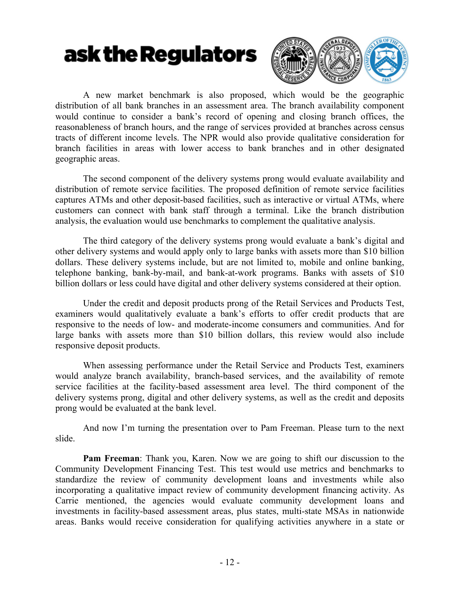

A new market benchmark is also proposed, which would be the geographic distribution of all bank branches in an assessment area. The branch availability component would continue to consider a bank's record of opening and closing branch offices, the reasonableness of branch hours, and the range of services provided at branches across census tracts of different income levels. The NPR would also provide qualitative consideration for branch facilities in areas with lower access to bank branches and in other designated geographic areas.

The second component of the delivery systems prong would evaluate availability and distribution of remote service facilities. The proposed definition of remote service facilities captures ATMs and other deposit-based facilities, such as interactive or virtual ATMs, where customers can connect with bank staff through a terminal. Like the branch distribution analysis, the evaluation would use benchmarks to complement the qualitative analysis.

The third category of the delivery systems prong would evaluate a bank's digital and other delivery systems and would apply only to large banks with assets more than \$10 billion dollars. These delivery systems include, but are not limited to, mobile and online banking, telephone banking, bank-by-mail, and bank-at-work programs. Banks with assets of \$10 billion dollars or less could have digital and other delivery systems considered at their option.

Under the credit and deposit products prong of the Retail Services and Products Test, examiners would qualitatively evaluate a bank's efforts to offer credit products that are responsive to the needs of low- and moderate-income consumers and communities. And for large banks with assets more than \$10 billion dollars, this review would also include responsive deposit products.

When assessing performance under the Retail Service and Products Test, examiners would analyze branch availability, branch-based services, and the availability of remote service facilities at the facility-based assessment area level. The third component of the delivery systems prong, digital and other delivery systems, as well as the credit and deposits prong would be evaluated at the bank level.

And now I'm turning the presentation over to Pam Freeman. Please turn to the next slide.

**Pam Freeman**: Thank you, Karen. Now we are going to shift our discussion to the Community Development Financing Test. This test would use metrics and benchmarks to standardize the review of community development loans and investments while also incorporating a qualitative impact review of community development financing activity. As Carrie mentioned, the agencies would evaluate community development loans and investments in facility-based assessment areas, plus states, multi-state MSAs in nationwide areas. Banks would receive consideration for qualifying activities anywhere in a state or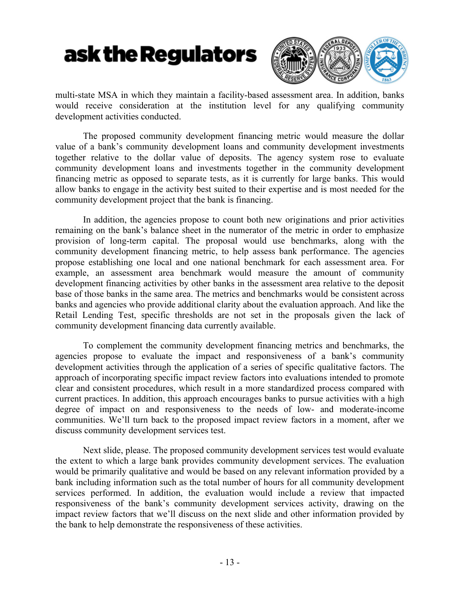

multi-state MSA in which they maintain a facility-based assessment area. In addition, banks would receive consideration at the institution level for any qualifying community development activities conducted.

The proposed community development financing metric would measure the dollar value of a bank's community development loans and community development investments together relative to the dollar value of deposits. The agency system rose to evaluate community development loans and investments together in the community development financing metric as opposed to separate tests, as it is currently for large banks. This would allow banks to engage in the activity best suited to their expertise and is most needed for the community development project that the bank is financing.

In addition, the agencies propose to count both new originations and prior activities remaining on the bank's balance sheet in the numerator of the metric in order to emphasize provision of long-term capital. The proposal would use benchmarks, along with the community development financing metric, to help assess bank performance. The agencies propose establishing one local and one national benchmark for each assessment area. For example, an assessment area benchmark would measure the amount of community development financing activities by other banks in the assessment area relative to the deposit base of those banks in the same area. The metrics and benchmarks would be consistent across banks and agencies who provide additional clarity about the evaluation approach. And like the Retail Lending Test, specific thresholds are not set in the proposals given the lack of community development financing data currently available.

To complement the community development financing metrics and benchmarks, the agencies propose to evaluate the impact and responsiveness of a bank's community development activities through the application of a series of specific qualitative factors. The approach of incorporating specific impact review factors into evaluations intended to promote clear and consistent procedures, which result in a more standardized process compared with current practices. In addition, this approach encourages banks to pursue activities with a high degree of impact on and responsiveness to the needs of low- and moderate-income communities. We'll turn back to the proposed impact review factors in a moment, after we discuss community development services test.

Next slide, please. The proposed community development services test would evaluate the extent to which a large bank provides community development services. The evaluation would be primarily qualitative and would be based on any relevant information provided by a bank including information such as the total number of hours for all community development services performed. In addition, the evaluation would include a review that impacted responsiveness of the bank's community development services activity, drawing on the impact review factors that we'll discuss on the next slide and other information provided by the bank to help demonstrate the responsiveness of these activities.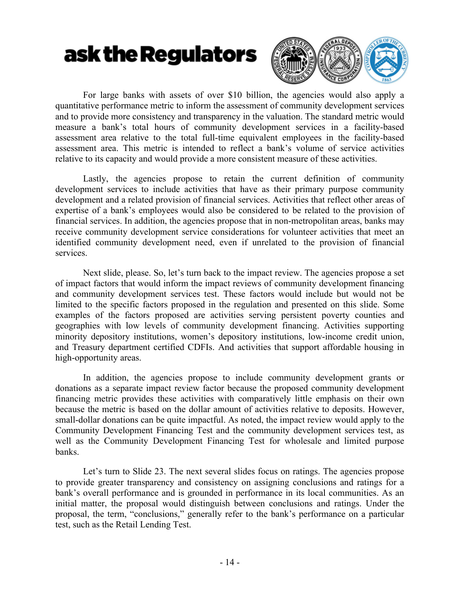

For large banks with assets of over \$10 billion, the agencies would also apply a quantitative performance metric to inform the assessment of community development services and to provide more consistency and transparency in the valuation. The standard metric would measure a bank's total hours of community development services in a facility-based assessment area relative to the total full-time equivalent employees in the facility-based assessment area. This metric is intended to reflect a bank's volume of service activities relative to its capacity and would provide a more consistent measure of these activities.

Lastly, the agencies propose to retain the current definition of community development services to include activities that have as their primary purpose community development and a related provision of financial services. Activities that reflect other areas of expertise of a bank's employees would also be considered to be related to the provision of financial services. In addition, the agencies propose that in non-metropolitan areas, banks may receive community development service considerations for volunteer activities that meet an identified community development need, even if unrelated to the provision of financial services.

Next slide, please. So, let's turn back to the impact review. The agencies propose a set of impact factors that would inform the impact reviews of community development financing and community development services test. These factors would include but would not be limited to the specific factors proposed in the regulation and presented on this slide. Some examples of the factors proposed are activities serving persistent poverty counties and geographies with low levels of community development financing. Activities supporting minority depository institutions, women's depository institutions, low-income credit union, and Treasury department certified CDFIs. And activities that support affordable housing in high-opportunity areas.

In addition, the agencies propose to include community development grants or donations as a separate impact review factor because the proposed community development financing metric provides these activities with comparatively little emphasis on their own because the metric is based on the dollar amount of activities relative to deposits. However, small-dollar donations can be quite impactful. As noted, the impact review would apply to the Community Development Financing Test and the community development services test, as well as the Community Development Financing Test for wholesale and limited purpose banks.

Let's turn to Slide 23. The next several slides focus on ratings. The agencies propose to provide greater transparency and consistency on assigning conclusions and ratings for a bank's overall performance and is grounded in performance in its local communities. As an initial matter, the proposal would distinguish between conclusions and ratings. Under the proposal, the term, "conclusions," generally refer to the bank's performance on a particular test, such as the Retail Lending Test.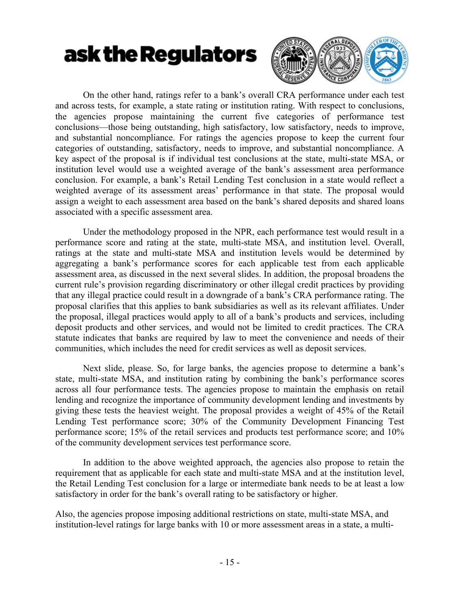

On the other hand, ratings refer to a bank's overall CRA performance under each test and across tests, for example, a state rating or institution rating. With respect to conclusions, the agencies propose maintaining the current five categories of performance test conclusions—those being outstanding, high satisfactory, low satisfactory, needs to improve, and substantial noncompliance. For ratings the agencies propose to keep the current four categories of outstanding, satisfactory, needs to improve, and substantial noncompliance. A key aspect of the proposal is if individual test conclusions at the state, multi-state MSA, or institution level would use a weighted average of the bank's assessment area performance conclusion. For example, a bank's Retail Lending Test conclusion in a state would reflect a weighted average of its assessment areas' performance in that state. The proposal would assign a weight to each assessment area based on the bank's shared deposits and shared loans associated with a specific assessment area.

Under the methodology proposed in the NPR, each performance test would result in a performance score and rating at the state, multi-state MSA, and institution level. Overall, ratings at the state and multi-state MSA and institution levels would be determined by aggregating a bank's performance scores for each applicable test from each applicable assessment area, as discussed in the next several slides. In addition, the proposal broadens the current rule's provision regarding discriminatory or other illegal credit practices by providing that any illegal practice could result in a downgrade of a bank's CRA performance rating. The proposal clarifies that this applies to bank subsidiaries as well as its relevant affiliates. Under the proposal, illegal practices would apply to all of a bank's products and services, including deposit products and other services, and would not be limited to credit practices. The CRA statute indicates that banks are required by law to meet the convenience and needs of their communities, which includes the need for credit services as well as deposit services.

Next slide, please. So, for large banks, the agencies propose to determine a bank's state, multi-state MSA, and institution rating by combining the bank's performance scores across all four performance tests. The agencies propose to maintain the emphasis on retail lending and recognize the importance of community development lending and investments by giving these tests the heaviest weight. The proposal provides a weight of 45% of the Retail Lending Test performance score; 30% of the Community Development Financing Test performance score; 15% of the retail services and products test performance score; and 10% of the community development services test performance score.

In addition to the above weighted approach, the agencies also propose to retain the requirement that as applicable for each state and multi-state MSA and at the institution level, the Retail Lending Test conclusion for a large or intermediate bank needs to be at least a low satisfactory in order for the bank's overall rating to be satisfactory or higher.

Also, the agencies propose imposing additional restrictions on state, multi-state MSA, and institution-level ratings for large banks with 10 or more assessment areas in a state, a multi-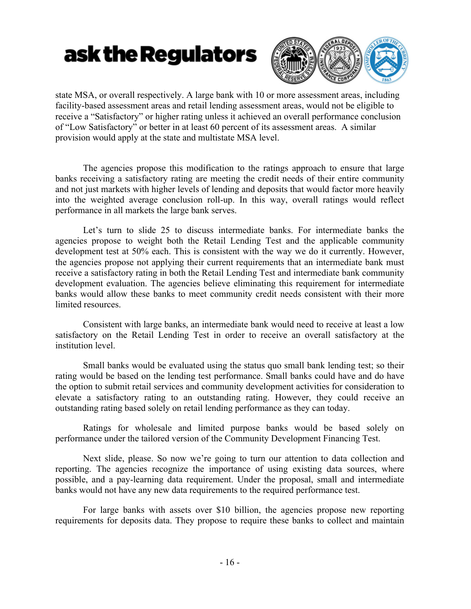

state MSA, or overall respectively. A large bank with 10 or more assessment areas, including facility-based assessment areas and retail lending assessment areas, would not be eligible to receive a "Satisfactory" or higher rating unless it achieved an overall performance conclusion of "Low Satisfactory" or better in at least 60 percent of its assessment areas. A similar provision would apply at the state and multistate MSA level.

The agencies propose this modification to the ratings approach to ensure that large banks receiving a satisfactory rating are meeting the credit needs of their entire community and not just markets with higher levels of lending and deposits that would factor more heavily into the weighted average conclusion roll-up. In this way, overall ratings would reflect performance in all markets the large bank serves.

Let's turn to slide 25 to discuss intermediate banks. For intermediate banks the agencies propose to weight both the Retail Lending Test and the applicable community development test at 50% each. This is consistent with the way we do it currently. However, the agencies propose not applying their current requirements that an intermediate bank must receive a satisfactory rating in both the Retail Lending Test and intermediate bank community development evaluation. The agencies believe eliminating this requirement for intermediate banks would allow these banks to meet community credit needs consistent with their more limited resources.

Consistent with large banks, an intermediate bank would need to receive at least a low satisfactory on the Retail Lending Test in order to receive an overall satisfactory at the institution level.

Small banks would be evaluated using the status quo small bank lending test; so their rating would be based on the lending test performance. Small banks could have and do have the option to submit retail services and community development activities for consideration to elevate a satisfactory rating to an outstanding rating. However, they could receive an outstanding rating based solely on retail lending performance as they can today.

Ratings for wholesale and limited purpose banks would be based solely on performance under the tailored version of the Community Development Financing Test.

Next slide, please. So now we're going to turn our attention to data collection and reporting. The agencies recognize the importance of using existing data sources, where possible, and a pay-learning data requirement. Under the proposal, small and intermediate banks would not have any new data requirements to the required performance test.

For large banks with assets over \$10 billion, the agencies propose new reporting requirements for deposits data. They propose to require these banks to collect and maintain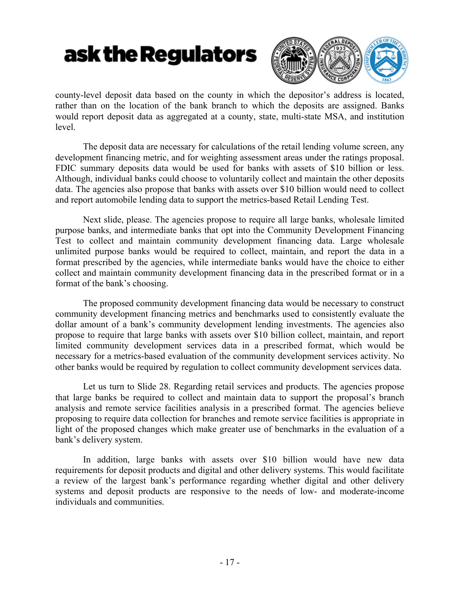

county-level deposit data based on the county in which the depositor's address is located, rather than on the location of the bank branch to which the deposits are assigned. Banks would report deposit data as aggregated at a county, state, multi-state MSA, and institution level.

The deposit data are necessary for calculations of the retail lending volume screen, any development financing metric, and for weighting assessment areas under the ratings proposal. FDIC summary deposits data would be used for banks with assets of \$10 billion or less. Although, individual banks could choose to voluntarily collect and maintain the other deposits data. The agencies also propose that banks with assets over \$10 billion would need to collect and report automobile lending data to support the metrics-based Retail Lending Test.

Next slide, please. The agencies propose to require all large banks, wholesale limited purpose banks, and intermediate banks that opt into the Community Development Financing Test to collect and maintain community development financing data. Large wholesale unlimited purpose banks would be required to collect, maintain, and report the data in a format prescribed by the agencies, while intermediate banks would have the choice to either collect and maintain community development financing data in the prescribed format or in a format of the bank's choosing.

The proposed community development financing data would be necessary to construct community development financing metrics and benchmarks used to consistently evaluate the dollar amount of a bank's community development lending investments. The agencies also propose to require that large banks with assets over \$10 billion collect, maintain, and report limited community development services data in a prescribed format, which would be necessary for a metrics-based evaluation of the community development services activity. No other banks would be required by regulation to collect community development services data.

Let us turn to Slide 28. Regarding retail services and products. The agencies propose that large banks be required to collect and maintain data to support the proposal's branch analysis and remote service facilities analysis in a prescribed format. The agencies believe proposing to require data collection for branches and remote service facilities is appropriate in light of the proposed changes which make greater use of benchmarks in the evaluation of a bank's delivery system.

In addition, large banks with assets over \$10 billion would have new data requirements for deposit products and digital and other delivery systems. This would facilitate a review of the largest bank's performance regarding whether digital and other delivery systems and deposit products are responsive to the needs of low- and moderate-income individuals and communities.